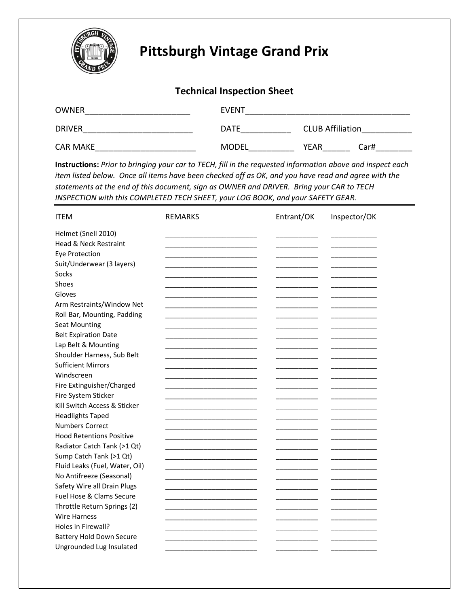

## **Pittsburgh Vintage Grand Prix**

## **Technical Inspection Sheet**

| <b>OWNER</b>    | <b>EVENT</b> |                         |
|-----------------|--------------|-------------------------|
| <b>DRIVER</b>   | <b>DATE</b>  | <b>CLUB Affiliation</b> |
| <b>CAR MAKE</b> | <b>MODEL</b> | <b>YEAR</b><br>Car#     |

**Instructions:** *Prior to bringing your car to TECH, fill in the requested information above and inspect each item listed below. Once all items have been checked off as OK, and you have read and agree with the statements at the end of this document, sign as OWNER and DRIVER. Bring your CAR to TECH INSPECTION with this COMPLETED TECH SHEET, your LOG BOOK, and your SAFETY GEAR.*

| <b>ITEM</b>                      | <b>REMARKS</b> | Entrant/OK | Inspector/OK |
|----------------------------------|----------------|------------|--------------|
| Helmet (Snell 2010)              |                |            |              |
| <b>Head &amp; Neck Restraint</b> |                |            |              |
| <b>Eye Protection</b>            |                |            |              |
| Suit/Underwear (3 layers)        |                |            |              |
| Socks                            |                |            |              |
| Shoes                            |                |            |              |
| Gloves                           |                |            |              |
| Arm Restraints/Window Net        |                |            |              |
| Roll Bar, Mounting, Padding      |                |            |              |
| <b>Seat Mounting</b>             |                |            |              |
| <b>Belt Expiration Date</b>      |                |            |              |
| Lap Belt & Mounting              |                |            |              |
| Shoulder Harness, Sub Belt       |                |            |              |
| <b>Sufficient Mirrors</b>        |                |            |              |
| Windscreen                       |                |            |              |
| Fire Extinguisher/Charged        |                |            |              |
| Fire System Sticker              |                |            |              |
| Kill Switch Access & Sticker     |                |            |              |
| <b>Headlights Taped</b>          |                |            |              |
| <b>Numbers Correct</b>           |                |            |              |
| <b>Hood Retentions Positive</b>  |                |            |              |
| Radiator Catch Tank (>1 Qt)      |                |            |              |
| Sump Catch Tank (>1 Qt)          |                |            |              |
| Fluid Leaks (Fuel, Water, Oil)   |                |            |              |
| No Antifreeze (Seasonal)         |                |            |              |
| Safety Wire all Drain Plugs      |                |            |              |
| Fuel Hose & Clams Secure         |                |            |              |
| Throttle Return Springs (2)      |                |            |              |
| <b>Wire Harness</b>              |                |            |              |
| Holes in Firewall?               |                |            |              |
| <b>Battery Hold Down Secure</b>  |                |            |              |
| Ungrounded Lug Insulated         |                |            |              |